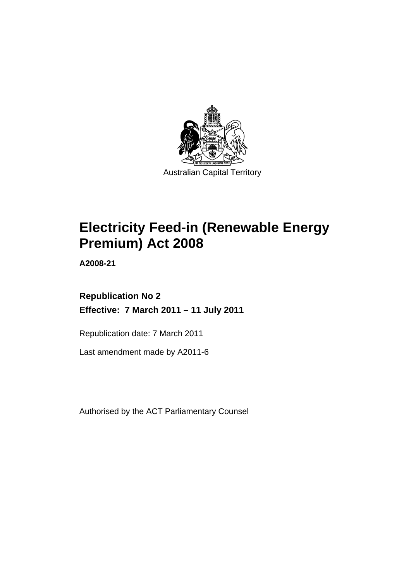

# **Electricity Feed-in (Renewable Energy Premium) Act 2008**

**A2008-21** 

# **Republication No 2 Effective: 7 March 2011 – 11 July 2011**

Republication date: 7 March 2011

Last amendment made by A2011-6

Authorised by the ACT Parliamentary Counsel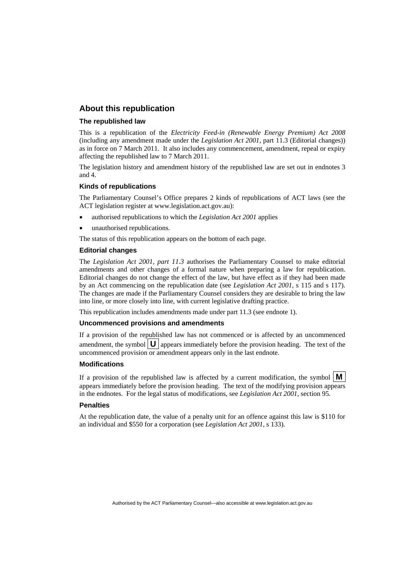### **About this republication**

### **The republished law**

This is a republication of the *Electricity Feed-in (Renewable Energy Premium) Act 2008* (including any amendment made under the *Legislation Act 2001*, part 11.3 (Editorial changes)) as in force on 7 March 2011*.* It also includes any commencement, amendment, repeal or expiry affecting the republished law to 7 March 2011.

The legislation history and amendment history of the republished law are set out in endnotes 3 and 4.

### **Kinds of republications**

The Parliamentary Counsel's Office prepares 2 kinds of republications of ACT laws (see the ACT legislation register at www.legislation.act.gov.au):

- authorised republications to which the *Legislation Act 2001* applies
- unauthorised republications.

The status of this republication appears on the bottom of each page.

### **Editorial changes**

The *Legislation Act 2001, part 11.3* authorises the Parliamentary Counsel to make editorial amendments and other changes of a formal nature when preparing a law for republication. Editorial changes do not change the effect of the law, but have effect as if they had been made by an Act commencing on the republication date (see *Legislation Act 2001*, s 115 and s 117). The changes are made if the Parliamentary Counsel considers they are desirable to bring the law into line, or more closely into line, with current legislative drafting practice.

This republication includes amendments made under part 11.3 (see endnote 1).

### **Uncommenced provisions and amendments**

If a provision of the republished law has not commenced or is affected by an uncommenced amendment, the symbol  $\mathbf{U}$  appears immediately before the provision heading. The text of the uncommenced provision  $\overline{or}$  amendment appears only in the last endnote.

### **Modifications**

If a provision of the republished law is affected by a current modification, the symbol  $\mathbf{M}$ appears immediately before the provision heading. The text of the modifying provision appears in the endnotes. For the legal status of modifications, see *Legislation Act 2001*, section 95.

### **Penalties**

At the republication date, the value of a penalty unit for an offence against this law is \$110 for an individual and \$550 for a corporation (see *Legislation Act 2001*, s 133).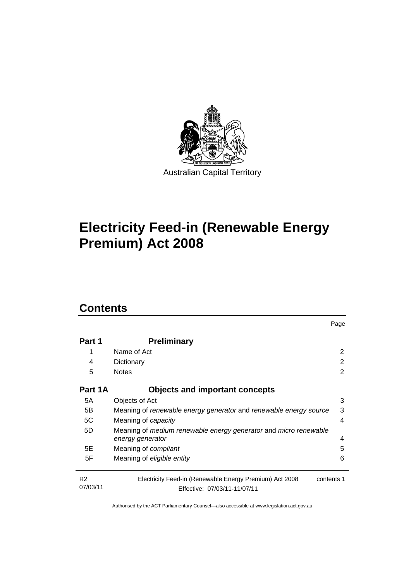

# **Electricity Feed-in (Renewable Energy Premium) Act 2008**

# **Contents**

| Part 1                     | <b>Preliminary</b>                                                                                    |   |  |
|----------------------------|-------------------------------------------------------------------------------------------------------|---|--|
| 1                          | Name of Act                                                                                           | 2 |  |
| 4                          | Dictionary                                                                                            |   |  |
| 5                          | <b>Notes</b>                                                                                          |   |  |
| Part 1A                    | <b>Objects and important concepts</b>                                                                 |   |  |
| 5A                         | Objects of Act                                                                                        | 3 |  |
| 5B                         | 3<br>Meaning of renewable energy generator and renewable energy source                                |   |  |
| 5C                         | Meaning of capacity                                                                                   |   |  |
| 5D                         | Meaning of medium renewable energy generator and micro renewable<br>energy generator                  | 4 |  |
| 5E                         | Meaning of <i>compliant</i>                                                                           | 5 |  |
| 5F                         | Meaning of eligible entity                                                                            | 6 |  |
| R <sub>2</sub><br>07/03/11 | Electricity Feed-in (Renewable Energy Premium) Act 2008<br>contents 1<br>Effective: 07/03/11-11/07/11 |   |  |

Page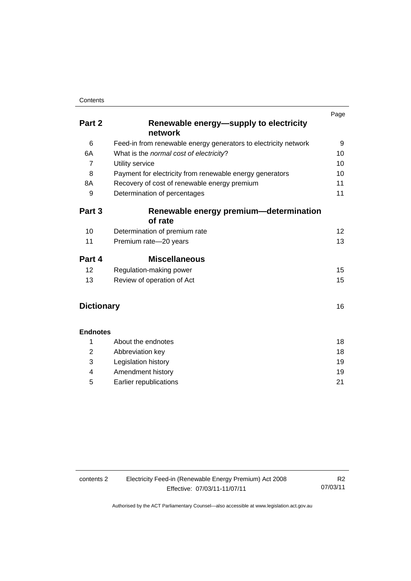|                   |                                                                 | Page |  |
|-------------------|-----------------------------------------------------------------|------|--|
| Part 2            | Renewable energy—supply to electricity<br>network               |      |  |
| 6                 | Feed-in from renewable energy generators to electricity network | 9    |  |
| 6A                | What is the normal cost of electricity?                         | 10   |  |
| $\overline{7}$    | Utility service                                                 | 10   |  |
| 8                 | Payment for electricity from renewable energy generators        | 10   |  |
| 8A                | Recovery of cost of renewable energy premium                    | 11   |  |
| 9                 | Determination of percentages                                    |      |  |
| Part 3            | Renewable energy premium-determination<br>of rate               |      |  |
| 10                | Determination of premium rate                                   | 12   |  |
| 11                | Premium rate-20 years                                           | 13   |  |
| Part 4            | <b>Miscellaneous</b>                                            |      |  |
| 12                | Regulation-making power                                         | 15   |  |
| 13                | Review of operation of Act                                      | 15   |  |
| <b>Dictionary</b> |                                                                 | 16   |  |
| <b>Endnotes</b>   |                                                                 |      |  |
| 1                 | About the endnotes                                              | 18   |  |
| 2                 | Abbreviation key                                                | 18   |  |
| 3                 | Legislation history                                             | 19   |  |
| 4                 | Amendment history                                               | 19   |  |
| 5                 | Earlier republications                                          | 21   |  |

| contents 2 | R <sub>2</sub>               |          |
|------------|------------------------------|----------|
|            | Effective: 07/03/11-11/07/11 | 07/03/11 |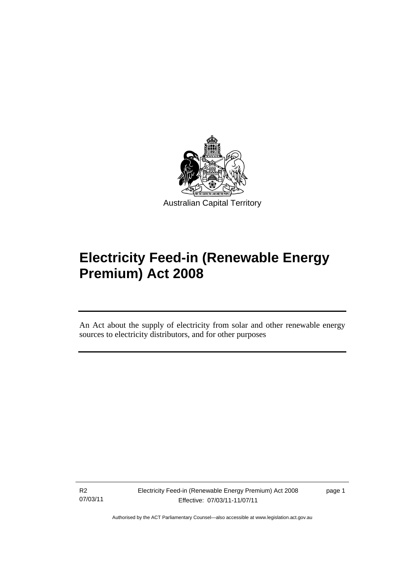

# **Electricity Feed-in (Renewable Energy Premium) Act 2008**

An Act about the supply of electricity from solar and other renewable energy sources to electricity distributors, and for other purposes

R2 07/03/11

Ī

page 1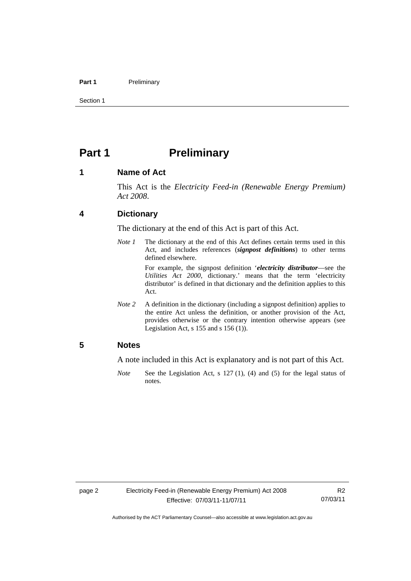### Part 1 **Preliminary**

Section 1

## <span id="page-5-0"></span>**Part 1** Preliminary

### <span id="page-5-1"></span>**1 Name of Act**

This Act is the *Electricity Feed-in (Renewable Energy Premium) Act 2008*.

### <span id="page-5-2"></span>**4 Dictionary**

The dictionary at the end of this Act is part of this Act.

*Note 1* The dictionary at the end of this Act defines certain terms used in this Act, and includes references (*signpost definitions*) to other terms defined elsewhere.

> For example, the signpost definition '*electricity distributor*—see the *Utilities Act 2000*, dictionary.' means that the term 'electricity distributor' is defined in that dictionary and the definition applies to this Act.

*Note 2* A definition in the dictionary (including a signpost definition) applies to the entire Act unless the definition, or another provision of the Act, provides otherwise or the contrary intention otherwise appears (see Legislation Act, s 155 and s 156 (1)).

### <span id="page-5-3"></span>**5 Notes**

A note included in this Act is explanatory and is not part of this Act.

*Note* See the Legislation Act, s 127 (1), (4) and (5) for the legal status of notes.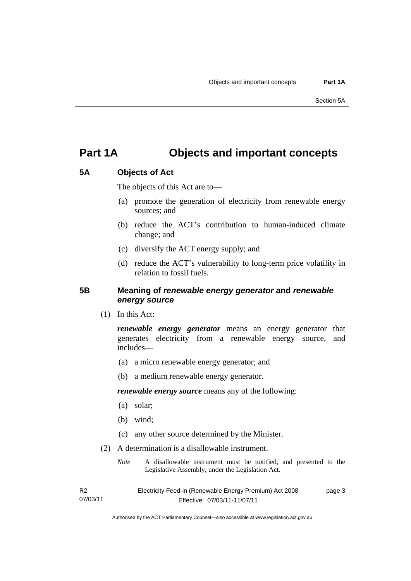## <span id="page-6-0"></span>**Part 1A Objects and important concepts**

### <span id="page-6-1"></span>**5A Objects of Act**

The objects of this Act are to—

- (a) promote the generation of electricity from renewable energy sources; and
- (b) reduce the ACT's contribution to human-induced climate change; and
- (c) diversify the ACT energy supply; and
- (d) reduce the ACT's vulnerability to long-term price volatility in relation to fossil fuels.

### <span id="page-6-2"></span>**5B Meaning of** *renewable energy generator* **and** *renewable energy source*

(1) In this Act:

*renewable energy generator* means an energy generator that generates electricity from a renewable energy source, and includes—

- (a) a micro renewable energy generator; and
- (b) a medium renewable energy generator.

*renewable energy source* means any of the following:

- (a) solar;
- (b) wind;
- (c) any other source determined by the Minister.
- (2) A determination is a disallowable instrument.
	- *Note* A disallowable instrument must be notified, and presented to the Legislative Assembly, under the Legislation Act.

R2 07/03/11 Electricity Feed-in (Renewable Energy Premium) Act 2008 Effective: 07/03/11-11/07/11 page 3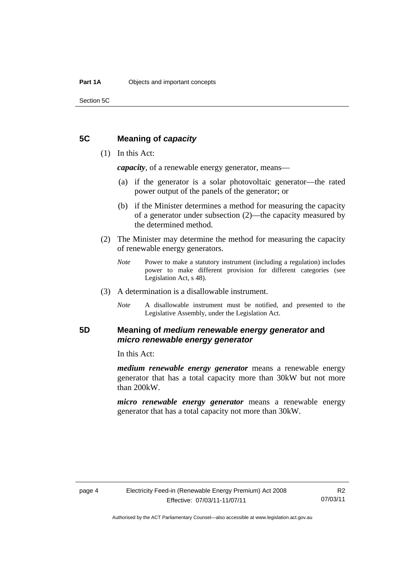Section 5C

### <span id="page-7-0"></span>**5C Meaning of** *capacity*

### (1) In this Act:

*capacity*, of a renewable energy generator, means—

- (a) if the generator is a solar photovoltaic generator—the rated power output of the panels of the generator; or
- (b) if the Minister determines a method for measuring the capacity of a generator under subsection (2)—the capacity measured by the determined method.
- (2) The Minister may determine the method for measuring the capacity of renewable energy generators.
	- *Note* Power to make a statutory instrument (including a regulation) includes power to make different provision for different categories (see Legislation Act, s 48).
- (3) A determination is a disallowable instrument.
	- *Note* A disallowable instrument must be notified, and presented to the Legislative Assembly, under the Legislation Act.

### <span id="page-7-1"></span>**5D Meaning of** *medium renewable energy generator* **and**  *micro renewable energy generator*

In this Act:

*medium renewable energy generator* means a renewable energy generator that has a total capacity more than 30kW but not more than 200kW.

*micro renewable energy generator* means a renewable energy generator that has a total capacity not more than 30kW.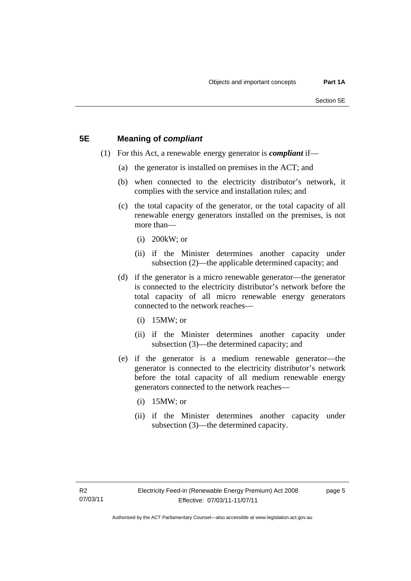### <span id="page-8-0"></span>**5E Meaning of** *compliant*

- (1) For this Act, a renewable energy generator is *compliant* if—
	- (a) the generator is installed on premises in the ACT; and
	- (b) when connected to the electricity distributor's network, it complies with the service and installation rules; and
	- (c) the total capacity of the generator, or the total capacity of all renewable energy generators installed on the premises, is not more than—
		- (i) 200kW; or
		- (ii) if the Minister determines another capacity under subsection (2)—the applicable determined capacity; and
	- (d) if the generator is a micro renewable generator—the generator is connected to the electricity distributor's network before the total capacity of all micro renewable energy generators connected to the network reaches—
		- (i) 15MW; or
		- (ii) if the Minister determines another capacity under subsection (3)—the determined capacity; and
	- (e) if the generator is a medium renewable generator—the generator is connected to the electricity distributor's network before the total capacity of all medium renewable energy generators connected to the network reaches—
		- (i) 15MW; or
		- (ii) if the Minister determines another capacity under subsection (3)—the determined capacity.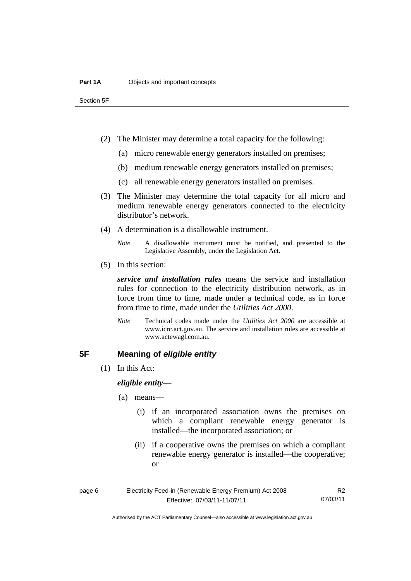Section 5F

- (2) The Minister may determine a total capacity for the following:
	- (a) micro renewable energy generators installed on premises;
	- (b) medium renewable energy generators installed on premises;
	- (c) all renewable energy generators installed on premises.
- (3) The Minister may determine the total capacity for all micro and medium renewable energy generators connected to the electricity distributor's network.
- (4) A determination is a disallowable instrument.
	- *Note* A disallowable instrument must be notified, and presented to the Legislative Assembly, under the Legislation Act.
- (5) In this section:

*service and installation rules* means the service and installation rules for connection to the electricity distribution network, as in force from time to time, made under a technical code, as in force from time to time, made under the *Utilities Act 2000*.

*Note* Technical codes made under the *Utilities Act 2000* are accessible at www.icrc.act.gov.au. The service and installation rules are accessible at www.actewagl.com.au.

### <span id="page-9-0"></span>**5F Meaning of** *eligible entity*

(1) In this Act:

*eligible entity*—

- (a) means—
	- (i) if an incorporated association owns the premises on which a compliant renewable energy generator is installed—the incorporated association; or
	- (ii) if a cooperative owns the premises on which a compliant renewable energy generator is installed—the cooperative; or

R2 07/03/11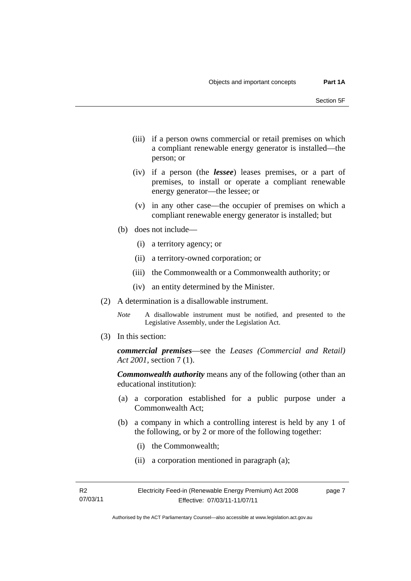- (iii) if a person owns commercial or retail premises on which a compliant renewable energy generator is installed—the person; or
- (iv) if a person (the *lessee*) leases premises, or a part of premises, to install or operate a compliant renewable energy generator—the lessee; or
- (v) in any other case—the occupier of premises on which a compliant renewable energy generator is installed; but
- (b) does not include—
	- (i) a territory agency; or
	- (ii) a territory-owned corporation; or
	- (iii) the Commonwealth or a Commonwealth authority; or
	- (iv) an entity determined by the Minister.
- (2) A determination is a disallowable instrument.
	- *Note* A disallowable instrument must be notified, and presented to the Legislative Assembly, under the Legislation Act.
- (3) In this section:

*commercial premises*—see the *Leases (Commercial and Retail) Act 2001*, section 7 (1).

*Commonwealth authority* means any of the following (other than an educational institution):

- (a) a corporation established for a public purpose under a Commonwealth Act;
- (b) a company in which a controlling interest is held by any 1 of the following, or by 2 or more of the following together:
	- (i) the Commonwealth;
	- (ii) a corporation mentioned in paragraph (a);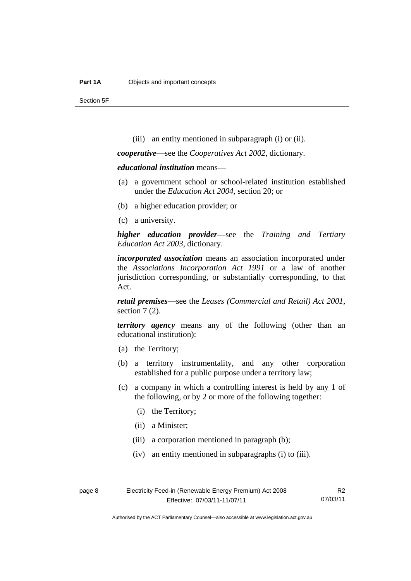Section 5F

(iii) an entity mentioned in subparagraph (i) or (ii).

*cooperative*—see the *Cooperatives Act 2002*, dictionary.

*educational institution* means—

- (a) a government school or school-related institution established under the *Education Act 2004*, section 20; or
- (b) a higher education provider; or
- (c) a university.

*higher education provider*—see the *Training and Tertiary Education Act 2003*, dictionary.

*incorporated association* means an association incorporated under the *Associations Incorporation Act 1991* or a law of another jurisdiction corresponding, or substantially corresponding, to that Act.

*retail premises*—see the *Leases (Commercial and Retail) Act 2001*, section 7 (2).

*territory agency* means any of the following (other than an educational institution):

- (a) the Territory;
- (b) a territory instrumentality, and any other corporation established for a public purpose under a territory law;
- (c) a company in which a controlling interest is held by any 1 of the following, or by 2 or more of the following together:
	- (i) the Territory;
	- (ii) a Minister;
	- (iii) a corporation mentioned in paragraph (b);
	- (iv) an entity mentioned in subparagraphs (i) to (iii).

R2 07/03/11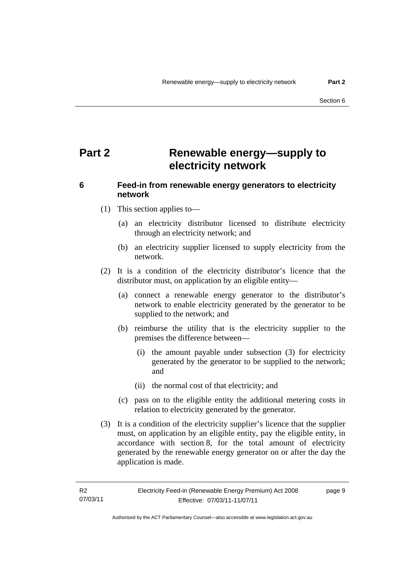# <span id="page-12-0"></span>**Part 2 Renewable energy—supply to electricity network**

### <span id="page-12-1"></span>**6 Feed-in from renewable energy generators to electricity network**

- (1) This section applies to—
	- (a) an electricity distributor licensed to distribute electricity through an electricity network; and
	- (b) an electricity supplier licensed to supply electricity from the network.
- (2) It is a condition of the electricity distributor's licence that the distributor must, on application by an eligible entity—
	- (a) connect a renewable energy generator to the distributor's network to enable electricity generated by the generator to be supplied to the network; and
	- (b) reimburse the utility that is the electricity supplier to the premises the difference between—
		- (i) the amount payable under subsection (3) for electricity generated by the generator to be supplied to the network; and
		- (ii) the normal cost of that electricity; and
	- (c) pass on to the eligible entity the additional metering costs in relation to electricity generated by the generator.
- (3) It is a condition of the electricity supplier's licence that the supplier must, on application by an eligible entity, pay the eligible entity, in accordance with section 8, for the total amount of electricity generated by the renewable energy generator on or after the day the application is made.

page 9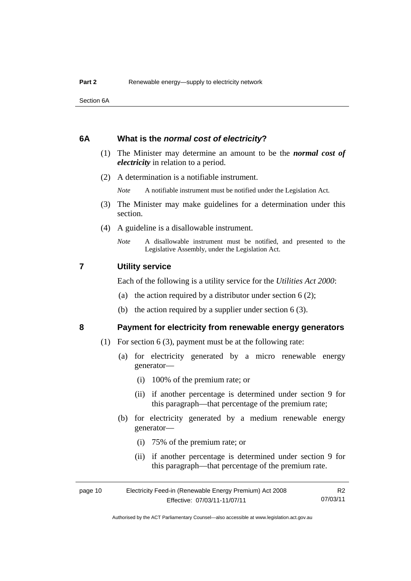Section 6A

### <span id="page-13-0"></span>**6A What is the** *normal cost of electricity***?**

- (1) The Minister may determine an amount to be the *normal cost of electricity* in relation to a period.
- (2) A determination is a notifiable instrument.

*Note* A notifiable instrument must be notified under the Legislation Act.

- (3) The Minister may make guidelines for a determination under this section.
- (4) A guideline is a disallowable instrument.
	- *Note* A disallowable instrument must be notified, and presented to the Legislative Assembly, under the Legislation Act.

### <span id="page-13-1"></span>**7 Utility service**

Each of the following is a utility service for the *Utilities Act 2000*:

- (a) the action required by a distributor under section  $6(2)$ ;
- (b) the action required by a supplier under section 6 (3).

### <span id="page-13-2"></span>**8 Payment for electricity from renewable energy generators**

- (1) For section 6 (3), payment must be at the following rate:
	- (a) for electricity generated by a micro renewable energy generator—
		- (i) 100% of the premium rate; or
		- (ii) if another percentage is determined under section 9 for this paragraph—that percentage of the premium rate;
	- (b) for electricity generated by a medium renewable energy generator—
		- (i) 75% of the premium rate; or
		- (ii) if another percentage is determined under section 9 for this paragraph—that percentage of the premium rate.

| page 10 | Electricity Feed-in (Renewable Energy Premium) Act 2008 |          |  |
|---------|---------------------------------------------------------|----------|--|
|         | Effective: 07/03/11-11/07/11                            | 07/03/11 |  |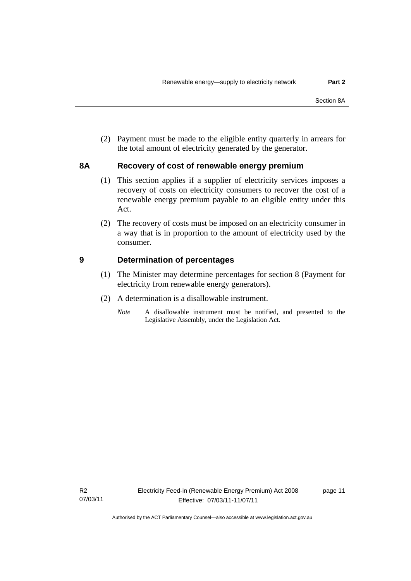(2) Payment must be made to the eligible entity quarterly in arrears for the total amount of electricity generated by the generator.

### <span id="page-14-0"></span>**8A Recovery of cost of renewable energy premium**

- (1) This section applies if a supplier of electricity services imposes a recovery of costs on electricity consumers to recover the cost of a renewable energy premium payable to an eligible entity under this Act.
- (2) The recovery of costs must be imposed on an electricity consumer in a way that is in proportion to the amount of electricity used by the consumer.

### <span id="page-14-1"></span>**9 Determination of percentages**

- (1) The Minister may determine percentages for section 8 (Payment for electricity from renewable energy generators).
- (2) A determination is a disallowable instrument.
	- *Note* A disallowable instrument must be notified, and presented to the Legislative Assembly, under the Legislation Act.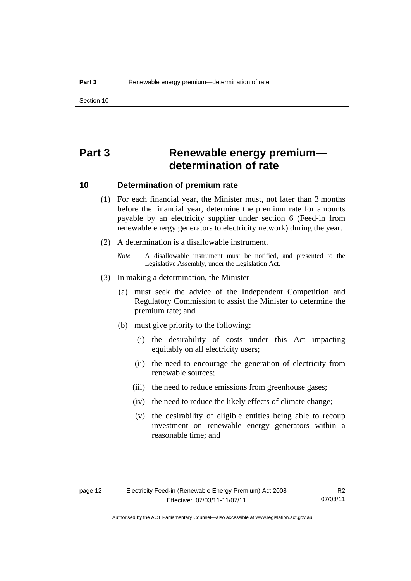# <span id="page-15-0"></span>**Part 3 Renewable energy premium determination of rate**

### <span id="page-15-1"></span>**10 Determination of premium rate**

- (1) For each financial year, the Minister must, not later than 3 months before the financial year, determine the premium rate for amounts payable by an electricity supplier under section 6 (Feed-in from renewable energy generators to electricity network) during the year.
- (2) A determination is a disallowable instrument.
	- *Note* A disallowable instrument must be notified, and presented to the Legislative Assembly, under the Legislation Act.
- (3) In making a determination, the Minister—
	- (a) must seek the advice of the Independent Competition and Regulatory Commission to assist the Minister to determine the premium rate; and
	- (b) must give priority to the following:
		- (i) the desirability of costs under this Act impacting equitably on all electricity users;
		- (ii) the need to encourage the generation of electricity from renewable sources;
		- (iii) the need to reduce emissions from greenhouse gases;
		- (iv) the need to reduce the likely effects of climate change;
		- (v) the desirability of eligible entities being able to recoup investment on renewable energy generators within a reasonable time; and

R2 07/03/11

Authorised by the ACT Parliamentary Counsel—also accessible at www.legislation.act.gov.au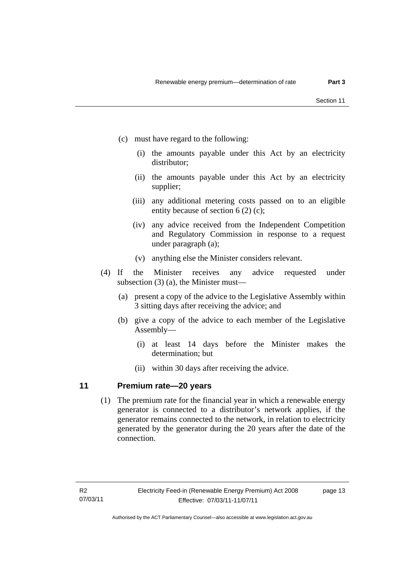- (c) must have regard to the following:
	- (i) the amounts payable under this Act by an electricity distributor;
	- (ii) the amounts payable under this Act by an electricity supplier;
	- (iii) any additional metering costs passed on to an eligible entity because of section 6 (2) (c);
	- (iv) any advice received from the Independent Competition and Regulatory Commission in response to a request under paragraph (a);
	- (v) anything else the Minister considers relevant.
- (4) If the Minister receives any advice requested under subsection (3) (a), the Minister must—
	- (a) present a copy of the advice to the Legislative Assembly within 3 sitting days after receiving the advice; and
	- (b) give a copy of the advice to each member of the Legislative Assembly—
		- (i) at least 14 days before the Minister makes the determination; but
		- (ii) within 30 days after receiving the advice.

### <span id="page-16-0"></span>**11 Premium rate—20 years**

(1) The premium rate for the financial year in which a renewable energy generator is connected to a distributor's network applies, if the generator remains connected to the network, in relation to electricity generated by the generator during the 20 years after the date of the connection.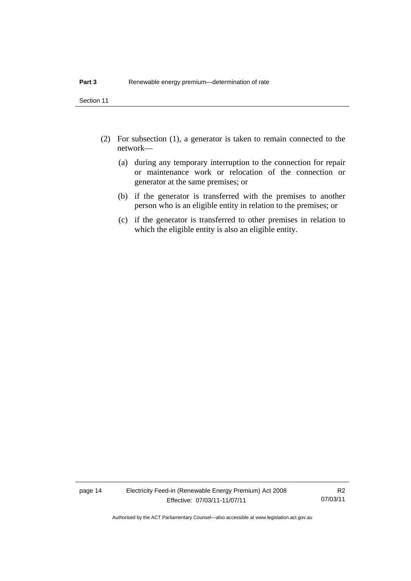Section 11

- (2) For subsection (1), a generator is taken to remain connected to the network—
	- (a) during any temporary interruption to the connection for repair or maintenance work or relocation of the connection or generator at the same premises; or
	- (b) if the generator is transferred with the premises to another person who is an eligible entity in relation to the premises; or
	- (c) if the generator is transferred to other premises in relation to which the eligible entity is also an eligible entity.

page 14 Electricity Feed-in (Renewable Energy Premium) Act 2008 Effective: 07/03/11-11/07/11

R2 07/03/11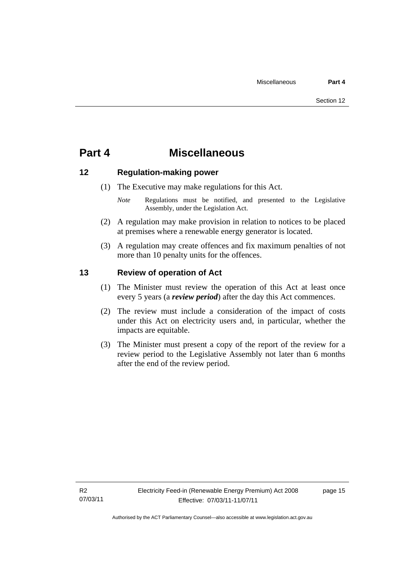## <span id="page-18-0"></span>**Part 4 Miscellaneous**

### <span id="page-18-1"></span>**12 Regulation-making power**

- (1) The Executive may make regulations for this Act.
	- *Note* **Regulations** must be notified, and presented to the Legislative Assembly, under the Legislation Act.
- (2) A regulation may make provision in relation to notices to be placed at premises where a renewable energy generator is located.
- (3) A regulation may create offences and fix maximum penalties of not more than 10 penalty units for the offences.

### <span id="page-18-2"></span>**13 Review of operation of Act**

- (1) The Minister must review the operation of this Act at least once every 5 years (a *review period*) after the day this Act commences.
- (2) The review must include a consideration of the impact of costs under this Act on electricity users and, in particular, whether the impacts are equitable.
- (3) The Minister must present a copy of the report of the review for a review period to the Legislative Assembly not later than 6 months after the end of the review period.

page 15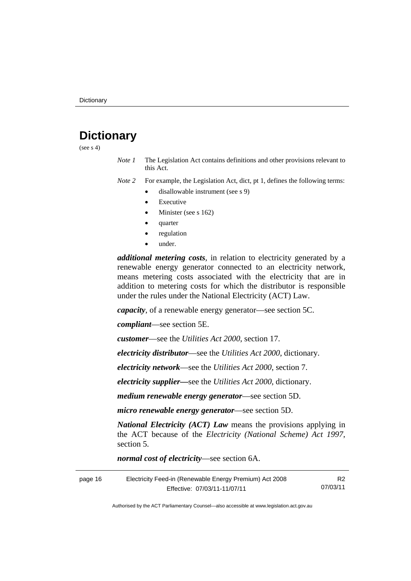# <span id="page-19-0"></span>**Dictionary**

(see  $s$  4)

*Note 1* The Legislation Act contains definitions and other provisions relevant to this Act.

*Note 2* For example, the Legislation Act, dict, pt 1, defines the following terms:

- disallowable instrument (see s 9)
- Executive
- Minister (see s 162)
- quarter
- regulation
- under.

*additional metering costs*, in relation to electricity generated by a renewable energy generator connected to an electricity network, means metering costs associated with the electricity that are in addition to metering costs for which the distributor is responsible under the rules under the National Electricity (ACT) Law.

*capacity*, of a renewable energy generator—see section 5C.

*compliant*—see section 5E.

*customer*—see the *Utilities Act 2000*, section 17.

*electricity distributor*—see the *Utilities Act 2000*, dictionary.

*electricity network*—see the *Utilities Act 2000*, section 7.

*electricity supplier***—**see the *Utilities Act 2000*, dictionary.

*medium renewable energy generator*—see section 5D.

*micro renewable energy generator*—see section 5D.

*National Electricity (ACT) Law* means the provisions applying in the ACT because of the *Electricity (National Scheme) Act 1997*, section 5.

*normal cost of electricity*—see section 6A.

| page 16 | Electricity Feed-in (Renewable Energy Premium) Act 2008 | R <sub>2</sub> |
|---------|---------------------------------------------------------|----------------|
|         | Effective: 07/03/11-11/07/11                            | 07/03/11       |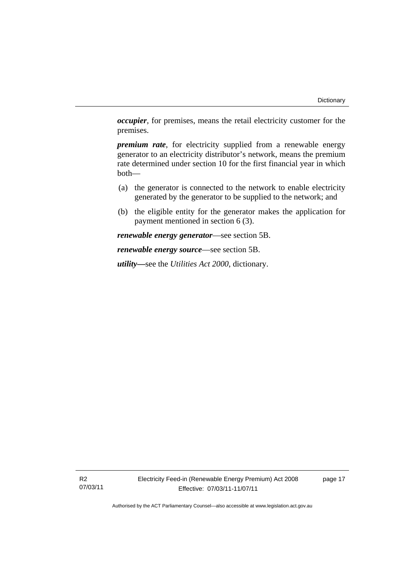*occupier*, for premises, means the retail electricity customer for the premises.

*premium rate*, for electricity supplied from a renewable energy generator to an electricity distributor's network, means the premium rate determined under section 10 for the first financial year in which both—

- (a) the generator is connected to the network to enable electricity generated by the generator to be supplied to the network; and
- (b) the eligible entity for the generator makes the application for payment mentioned in section 6 (3).

*renewable energy generator*—see section 5B.

*renewable energy source*—see section 5B.

*utility***—**see the *Utilities Act 2000*, dictionary.

R2 07/03/11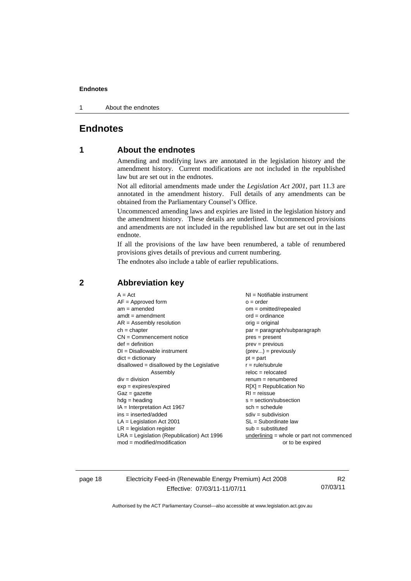1 About the endnotes

### <span id="page-21-0"></span>**Endnotes**

### **1 About the endnotes**

Amending and modifying laws are annotated in the legislation history and the amendment history. Current modifications are not included in the republished law but are set out in the endnotes.

Not all editorial amendments made under the *Legislation Act 2001*, part 11.3 are annotated in the amendment history. Full details of any amendments can be obtained from the Parliamentary Counsel's Office.

Uncommenced amending laws and expiries are listed in the legislation history and the amendment history. These details are underlined. Uncommenced provisions and amendments are not included in the republished law but are set out in the last endnote.

If all the provisions of the law have been renumbered, a table of renumbered provisions gives details of previous and current numbering.

The endnotes also include a table of earlier republications.

### <span id="page-21-2"></span>**2 Abbreviation key**

page 18 Electricity Feed-in (Renewable Energy Premium) Act 2008 Effective: 07/03/11-11/07/11

R2 07/03/11

<span id="page-21-1"></span>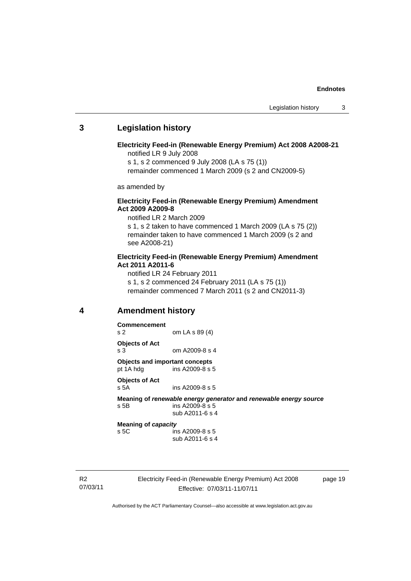### <span id="page-22-0"></span>**3 Legislation history**

### **Electricity Feed-in (Renewable Energy Premium) Act 2008 A2008-21**  notified LR 9 July 2008

s 1, s 2 commenced 9 July 2008 (LA s 75 (1))

remainder commenced 1 March 2009 (s 2 and CN2009-5)

as amended by

### **Electricity Feed-in (Renewable Energy Premium) Amendment Act 2009 A2009-8**

notified LR 2 March 2009

s 1, s 2 taken to have commenced 1 March 2009 (LA s 75 (2)) remainder taken to have commenced 1 March 2009 (s 2 and see A2008-21)

### **Electricity Feed-in (Renewable Energy Premium) Amendment Act 2011 A2011-6**

notified LR 24 February 2011 s 1, s 2 commenced 24 February 2011 (LA s 75 (1)) remainder commenced 7 March 2011 (s 2 and CN2011-3)

### <span id="page-22-1"></span>**4 Amendment history**

**Commencement**  s 2 om LA s 89 (4) **Objects of Act**  s 3 om A2009-8 s 4 **Objects and important concepts**  pt 1A hdg ins A2009-8 s 5 **Objects of Act**  s 5A ins A2009-8 s 5 **Meaning of** *renewable energy generator* **and** *renewable energy source* s 5B ins A2009-8 s 5 sub A2011-6 s 4 **Meaning of** *capacity*

s 5C ins A2009-8 s 5 sub A2011-6 s 4

R2 07/03/11 Electricity Feed-in (Renewable Energy Premium) Act 2008 Effective: 07/03/11-11/07/11

page 19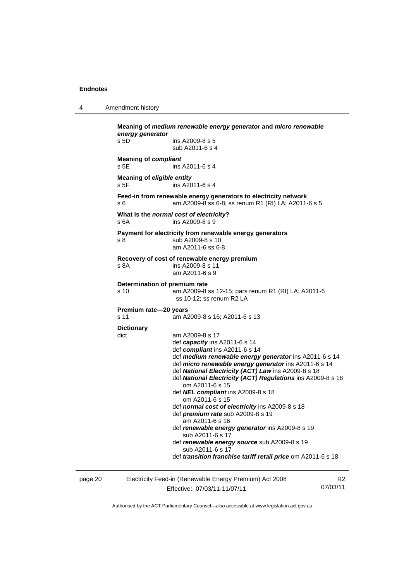4 Amendment history

| energy generator<br>s 5D                  | ins A2009-8 s 5                                                                                                                                                             |
|-------------------------------------------|-----------------------------------------------------------------------------------------------------------------------------------------------------------------------------|
|                                           | sub A2011-6 s 4                                                                                                                                                             |
| <b>Meaning of compliant</b><br>s 5E       | ins A2011-6 s 4                                                                                                                                                             |
|                                           |                                                                                                                                                                             |
| <b>Meaning of eligible entity</b><br>s 5F | ins A2011-6 s 4                                                                                                                                                             |
| s 6                                       | Feed-in from renewable energy generators to electricity network<br>am A2009-8 ss 6-8; ss renum R1 (RI) LA; A2011-6 s 5                                                      |
| s 6A                                      | What is the normal cost of electricity?<br>ins A2009-8 s 9                                                                                                                  |
|                                           | Payment for electricity from renewable energy generators                                                                                                                    |
| s 8                                       | sub A2009-8 s 10<br>am A2011-6 ss 6-8                                                                                                                                       |
|                                           | Recovery of cost of renewable energy premium                                                                                                                                |
| s 8A                                      | ins A2009-8 s 11<br>am A2011-6 s 9                                                                                                                                          |
|                                           | Determination of premium rate                                                                                                                                               |
| s 10                                      | am A2009-8 ss 12-15; pars renum R1 (RI) LA; A2011-6<br>ss 10-12; ss renum R2 LA                                                                                             |
| Premium rate-20 years                     |                                                                                                                                                                             |
| s 11                                      | am A2009-8 s 16; A2011-6 s 13                                                                                                                                               |
| <b>Dictionary</b>                         |                                                                                                                                                                             |
| dict                                      | am A2009-8 s 17                                                                                                                                                             |
|                                           | def capacity ins A2011-6 s 14                                                                                                                                               |
|                                           | def compliant ins A2011-6 s 14                                                                                                                                              |
|                                           | def medium renewable energy generator ins A2011-6 s 14                                                                                                                      |
|                                           | def micro renewable energy generator ins A2011-6 s 14<br>def National Electricity (ACT) Law ins A2009-8 s 18<br>def National Electricity (ACT) Regulations ins A2009-8 s 18 |
|                                           | om A2011-6 s 15                                                                                                                                                             |
|                                           | def NEL compliant ins A2009-8 s 18<br>om A2011-6 s 15                                                                                                                       |
|                                           | def normal cost of electricity ins A2009-8 s 18                                                                                                                             |
|                                           | def premium rate sub A2009-8 s 19<br>am A2011-6 s 16                                                                                                                        |
|                                           | def renewable energy generator ins A2009-8 s 19<br>sub A2011-6 s 17                                                                                                         |
|                                           |                                                                                                                                                                             |
|                                           | def renewable energy source sub A2009-8 s 19<br>sub A2011-6 s 17                                                                                                            |

page 20 Electricity Feed-in (Renewable Energy Premium) Act 2008 Effective: 07/03/11-11/07/11

R2 07/03/11